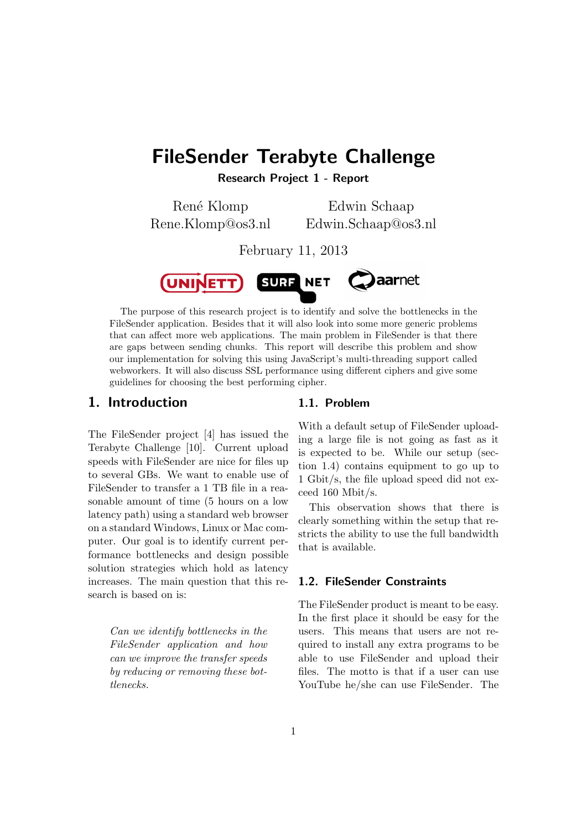# FileSender Terabyte Challenge

Research Project 1 - Report

René Klomp Rene.Klomp@os3.nl

Edwin Schaap Edwin.Schaap@os3.nl

February 11, 2013



The purpose of this research project is to identify and solve the bottlenecks in the FileSender application. Besides that it will also look into some more generic problems that can affect more web applications. The main problem in FileSender is that there are gaps between sending chunks. This report will describe this problem and show our implementation for solving this using JavaScript's multi-threading support called webworkers. It will also discuss SSL performance using different ciphers and give some guidelines for choosing the best performing cipher.

## 1. Introduction

The FileSender project [4] has issued the Terabyte Challenge [10]. Current upload speeds with FileSender are nice for files up to several GBs. We want to enable use of FileSender to transfer a 1 TB file in a reasonable amount of time (5 hours on a low latency path) using a standard web browser on a standard Windows, Linux or Mac computer. Our goal is to identify current performance bottlenecks and design possible solution strategies which hold as latency increases. The main question that this research is based on is:

> Can we identify bottlenecks in the FileSender application and how can we improve the transfer speeds by reducing or removing these bottlenecks.

### 1.1. Problem

With a default setup of FileSender uploading a large file is not going as fast as it is expected to be. While our setup (section 1.4) contains equipment to go up to 1 Gbit/s, the file upload speed did not exceed 160 Mbit/s.

This observation shows that there is clearly something within the setup that restricts the ability to use the full bandwidth that is available.

## 1.2. FileSender Constraints

The FileSender product is meant to be easy. In the first place it should be easy for the users. This means that users are not required to install any extra programs to be able to use FileSender and upload their files. The motto is that if a user can use YouTube he/she can use FileSender. The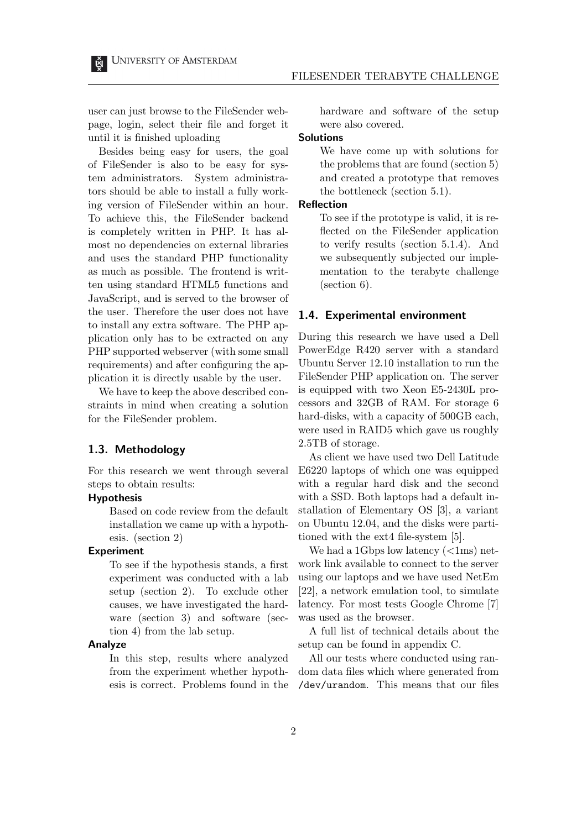user can just browse to the FileSender webpage, login, select their file and forget it until it is finished uploading

Besides being easy for users, the goal of FileSender is also to be easy for system administrators. System administrators should be able to install a fully working version of FileSender within an hour. To achieve this, the FileSender backend is completely written in PHP. It has almost no dependencies on external libraries and uses the standard PHP functionality as much as possible. The frontend is written using standard HTML5 functions and JavaScript, and is served to the browser of the user. Therefore the user does not have to install any extra software. The PHP application only has to be extracted on any PHP supported webserver (with some small requirements) and after configuring the application it is directly usable by the user.

We have to keep the above described constraints in mind when creating a solution for the FileSender problem.

#### 1.3. Methodology

For this research we went through several steps to obtain results:

#### Hypothesis

Based on code review from the default installation we came up with a hypothesis. (section 2)

#### Experiment

To see if the hypothesis stands, a first experiment was conducted with a lab setup (section 2). To exclude other causes, we have investigated the hardware (section 3) and software (section 4) from the lab setup.

#### Analyze

In this step, results where analyzed from the experiment whether hypothesis is correct. Problems found in the hardware and software of the setup were also covered.

#### **Solutions**

We have come up with solutions for the problems that are found (section 5) and created a prototype that removes the bottleneck (section 5.1).

#### Reflection

To see if the prototype is valid, it is reflected on the FileSender application to verify results (section 5.1.4). And we subsequently subjected our implementation to the terabyte challenge (section 6).

#### 1.4. Experimental environment

During this research we have used a Dell PowerEdge R420 server with a standard Ubuntu Server 12.10 installation to run the FileSender PHP application on. The server is equipped with two Xeon E5-2430L processors and 32GB of RAM. For storage 6 hard-disks, with a capacity of 500GB each, were used in RAID5 which gave us roughly 2.5TB of storage.

As client we have used two Dell Latitude E6220 laptops of which one was equipped with a regular hard disk and the second with a SSD. Both laptops had a default installation of Elementary OS [3], a variant on Ubuntu 12.04, and the disks were partitioned with the ext4 file-system [5].

We had a 1Gbps low latency  $\left(\langle \text{1ms} \rangle \right)$  network link available to connect to the server using our laptops and we have used NetEm [22], a network emulation tool, to simulate latency. For most tests Google Chrome [7] was used as the browser.

A full list of technical details about the setup can be found in appendix C.

All our tests where conducted using random data files which where generated from /dev/urandom. This means that our files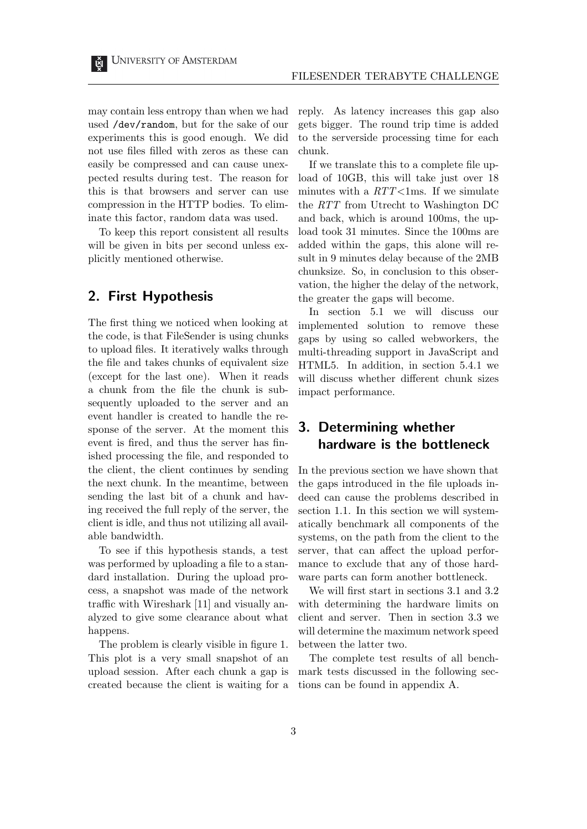may contain less entropy than when we had used /dev/random, but for the sake of our experiments this is good enough. We did not use files filled with zeros as these can easily be compressed and can cause unexpected results during test. The reason for this is that browsers and server can use compression in the HTTP bodies. To eliminate this factor, random data was used.

To keep this report consistent all results will be given in bits per second unless explicitly mentioned otherwise.

# 2. First Hypothesis

The first thing we noticed when looking at the code, is that FileSender is using chunks to upload files. It iteratively walks through the file and takes chunks of equivalent size (except for the last one). When it reads a chunk from the file the chunk is subsequently uploaded to the server and an event handler is created to handle the response of the server. At the moment this event is fired, and thus the server has finished processing the file, and responded to the client, the client continues by sending the next chunk. In the meantime, between sending the last bit of a chunk and having received the full reply of the server, the client is idle, and thus not utilizing all available bandwidth.

To see if this hypothesis stands, a test was performed by uploading a file to a standard installation. During the upload process, a snapshot was made of the network traffic with Wireshark [11] and visually analyzed to give some clearance about what happens.

The problem is clearly visible in figure 1. This plot is a very small snapshot of an upload session. After each chunk a gap is created because the client is waiting for a reply. As latency increases this gap also gets bigger. The round trip time is added to the serverside processing time for each chunk.

If we translate this to a complete file upload of 10GB, this will take just over 18 minutes with a  $RTT<1$ ms. If we simulate the RTT from Utrecht to Washington DC and back, which is around 100ms, the upload took 31 minutes. Since the 100ms are added within the gaps, this alone will result in 9 minutes delay because of the 2MB chunksize. So, in conclusion to this observation, the higher the delay of the network, the greater the gaps will become.

In section 5.1 we will discuss our implemented solution to remove these gaps by using so called webworkers, the multi-threading support in JavaScript and HTML5. In addition, in section 5.4.1 we will discuss whether different chunk sizes impact performance.

# 3. Determining whether hardware is the bottleneck

In the previous section we have shown that the gaps introduced in the file uploads indeed can cause the problems described in section 1.1. In this section we will systematically benchmark all components of the systems, on the path from the client to the server, that can affect the upload performance to exclude that any of those hardware parts can form another bottleneck.

We will first start in sections 3.1 and 3.2 with determining the hardware limits on client and server. Then in section 3.3 we will determine the maximum network speed between the latter two.

The complete test results of all benchmark tests discussed in the following sections can be found in appendix A.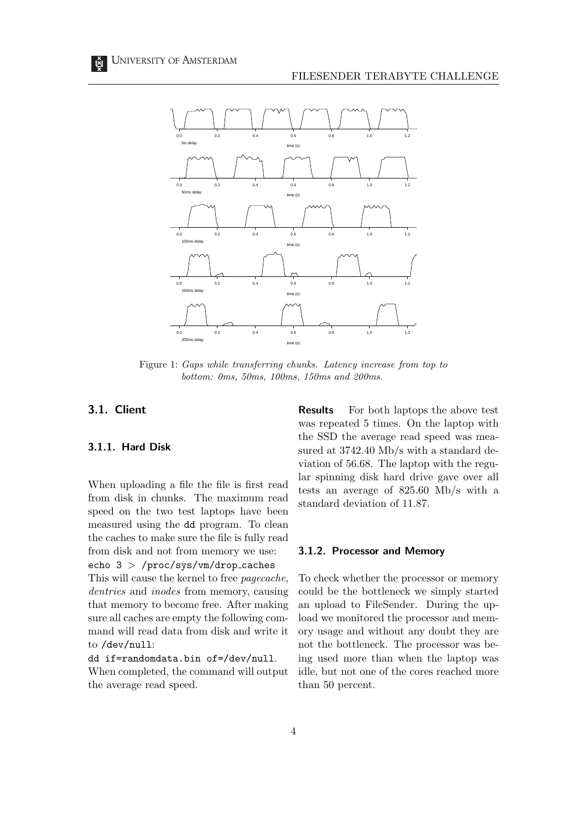

Figure 1: Gaps while transferring chunks. Latency increase from top to bottom: 0ms, 50ms, 100ms, 150ms and 200ms.

### 3.1. Client

#### 3.1.1. Hard Disk

When uploading a file the file is first read from disk in chunks. The maximum read speed on the two test laptops have been measured using the dd program. To clean the caches to make sure the file is fully read from disk and not from memory we use: echo  $3$  > /proc/sys/vm/drop\_caches

This will cause the kernel to free pagecache, dentries and inodes from memory, causing that memory to become free. After making sure all caches are empty the following command will read data from disk and write it to /dev/null:

dd if=randomdata.bin of=/dev/null.

When completed, the command will output the average read speed.

Results For both laptops the above test was repeated 5 times. On the laptop with the SSD the average read speed was measured at 3742.40 Mb/s with a standard deviation of 56.68. The laptop with the regular spinning disk hard drive gave over all tests an average of 825.60 Mb/s with a standard deviation of 11.87.

#### 3.1.2. Processor and Memory

To check whether the processor or memory could be the bottleneck we simply started an upload to FileSender. During the upload we monitored the processor and memory usage and without any doubt they are not the bottleneck. The processor was being used more than when the laptop was idle, but not one of the cores reached more than 50 percent.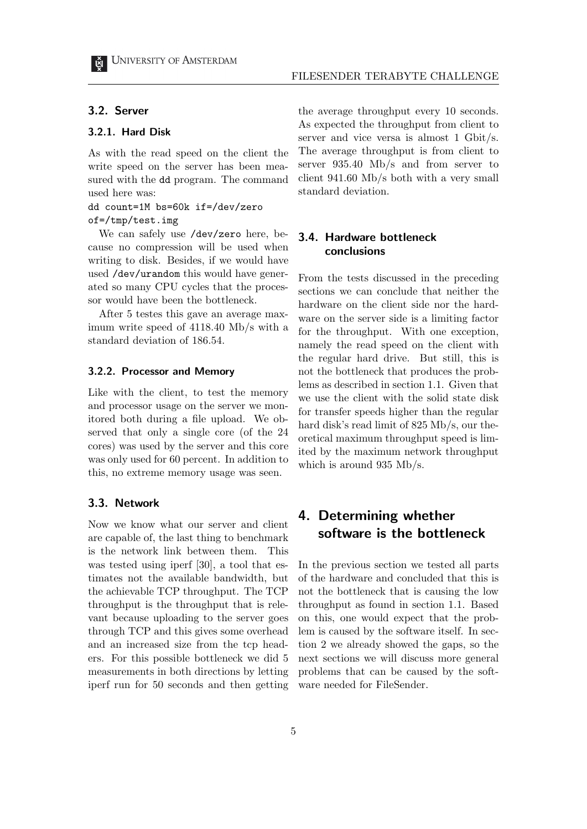#### 3.2. Server

#### 3.2.1. Hard Disk

As with the read speed on the client the write speed on the server has been measured with the dd program. The command used here was:

#### dd count=1M bs=60k if=/dev/zero of=/tmp/test.img

We can safely use /dev/zero here, because no compression will be used when writing to disk. Besides, if we would have used /dev/urandom this would have generated so many CPU cycles that the processor would have been the bottleneck.

After 5 testes this gave an average maximum write speed of 4118.40 Mb/s with a standard deviation of 186.54.

#### 3.2.2. Processor and Memory

Like with the client, to test the memory and processor usage on the server we monitored both during a file upload. We observed that only a single core (of the 24 cores) was used by the server and this core was only used for 60 percent. In addition to this, no extreme memory usage was seen.

## 3.3. Network

Now we know what our server and client are capable of, the last thing to benchmark is the network link between them. This was tested using iperf [30], a tool that estimates not the available bandwidth, but the achievable TCP throughput. The TCP throughput is the throughput that is relevant because uploading to the server goes through TCP and this gives some overhead and an increased size from the tcp headers. For this possible bottleneck we did 5 measurements in both directions by letting iperf run for 50 seconds and then getting the average throughput every 10 seconds. As expected the throughput from client to server and vice versa is almost 1 Gbit/s. The average throughput is from client to server 935.40 Mb/s and from server to client 941.60 Mb/s both with a very small standard deviation.

## 3.4. Hardware bottleneck conclusions

From the tests discussed in the preceding sections we can conclude that neither the hardware on the client side nor the hardware on the server side is a limiting factor for the throughput. With one exception, namely the read speed on the client with the regular hard drive. But still, this is not the bottleneck that produces the problems as described in section 1.1. Given that we use the client with the solid state disk for transfer speeds higher than the regular hard disk's read limit of 825 Mb/s, our theoretical maximum throughput speed is limited by the maximum network throughput which is around 935 Mb/s.

# 4. Determining whether software is the bottleneck

In the previous section we tested all parts of the hardware and concluded that this is not the bottleneck that is causing the low throughput as found in section 1.1. Based on this, one would expect that the problem is caused by the software itself. In section 2 we already showed the gaps, so the next sections we will discuss more general problems that can be caused by the software needed for FileSender.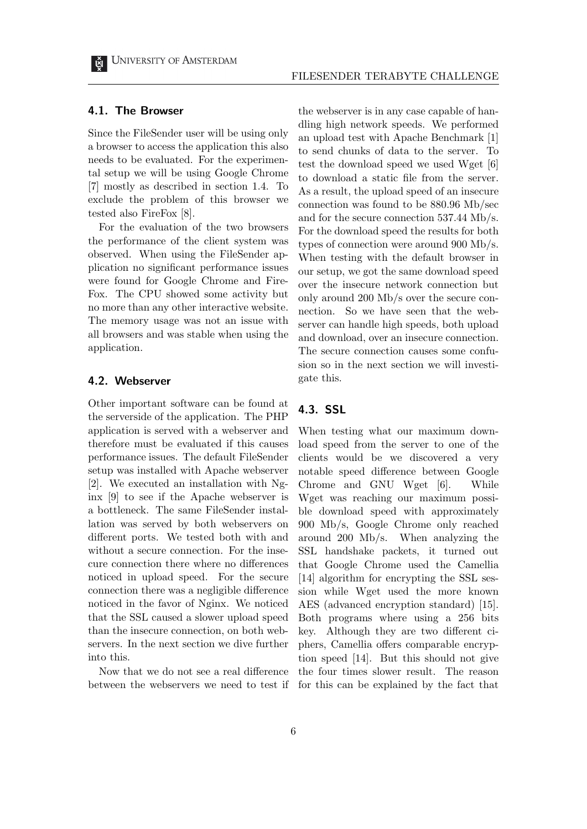#### 4.1. The Browser

Since the FileSender user will be using only a browser to access the application this also needs to be evaluated. For the experimental setup we will be using Google Chrome [7] mostly as described in section 1.4. To exclude the problem of this browser we tested also FireFox [8].

For the evaluation of the two browsers the performance of the client system was observed. When using the FileSender application no significant performance issues were found for Google Chrome and Fire-Fox. The CPU showed some activity but no more than any other interactive website. The memory usage was not an issue with all browsers and was stable when using the application.

### 4.2. Webserver

Other important software can be found at the serverside of the application. The PHP application is served with a webserver and therefore must be evaluated if this causes performance issues. The default FileSender setup was installed with Apache webserver [2]. We executed an installation with Nginx [9] to see if the Apache webserver is a bottleneck. The same FileSender installation was served by both webservers on different ports. We tested both with and without a secure connection. For the insecure connection there where no differences noticed in upload speed. For the secure connection there was a negligible difference noticed in the favor of Nginx. We noticed that the SSL caused a slower upload speed than the insecure connection, on both webservers. In the next section we dive further into this.

Now that we do not see a real difference between the webservers we need to test if the webserver is in any case capable of handling high network speeds. We performed an upload test with Apache Benchmark [1] to send chunks of data to the server. To test the download speed we used Wget [6] to download a static file from the server. As a result, the upload speed of an insecure connection was found to be 880.96 Mb/sec and for the secure connection 537.44 Mb/s. For the download speed the results for both types of connection were around 900 Mb/s. When testing with the default browser in our setup, we got the same download speed over the insecure network connection but only around 200 Mb/s over the secure connection. So we have seen that the webserver can handle high speeds, both upload and download, over an insecure connection. The secure connection causes some confusion so in the next section we will investigate this.

## 4.3. SSL

When testing what our maximum download speed from the server to one of the clients would be we discovered a very notable speed difference between Google Chrome and GNU Wget [6]. While Wget was reaching our maximum possible download speed with approximately 900 Mb/s, Google Chrome only reached around 200 Mb/s. When analyzing the SSL handshake packets, it turned out that Google Chrome used the Camellia [14] algorithm for encrypting the SSL session while Wget used the more known AES (advanced encryption standard) [15]. Both programs where using a 256 bits key. Although they are two different ciphers, Camellia offers comparable encryption speed [14]. But this should not give the four times slower result. The reason for this can be explained by the fact that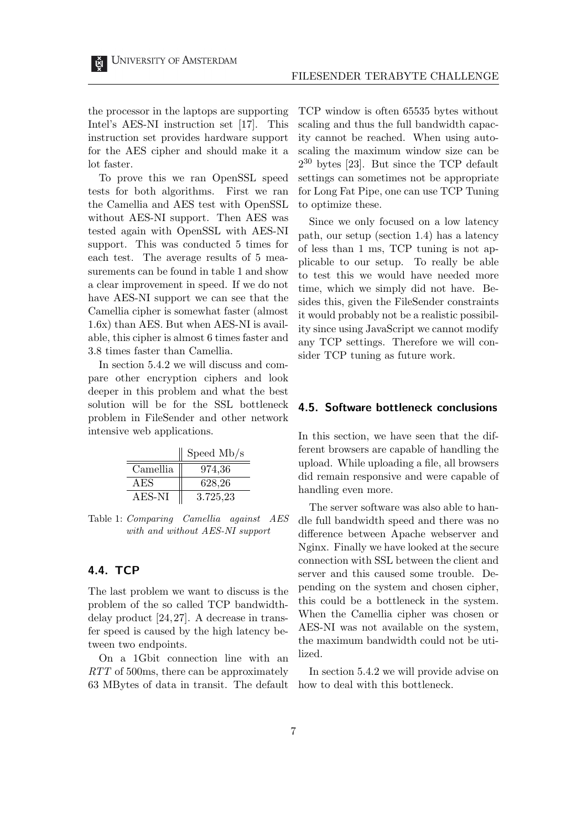the processor in the laptops are supporting Intel's AES-NI instruction set [17]. This instruction set provides hardware support for the AES cipher and should make it a lot faster.

To prove this we ran OpenSSL speed tests for both algorithms. First we ran the Camellia and AES test with OpenSSL without AES-NI support. Then AES was tested again with OpenSSL with AES-NI support. This was conducted 5 times for each test. The average results of 5 measurements can be found in table 1 and show a clear improvement in speed. If we do not have AES-NI support we can see that the Camellia cipher is somewhat faster (almost 1.6x) than AES. But when AES-NI is available, this cipher is almost 6 times faster and 3.8 times faster than Camellia.

In section 5.4.2 we will discuss and compare other encryption ciphers and look deeper in this problem and what the best solution will be for the SSL bottleneck problem in FileSender and other network intensive web applications.

|          | Speed $Mb/s$ |
|----------|--------------|
| Camellia | 974,36       |
| AES      | 628,26       |
| AES-NI   | 3.725,23     |

Table 1: Comparing Camellia against AES with and without AES-NI support

## 4.4. TCP

The last problem we want to discuss is the problem of the so called TCP bandwidthdelay product [24, 27]. A decrease in transfer speed is caused by the high latency between two endpoints.

On a 1Gbit connection line with an RTT of 500ms, there can be approximately 63 MBytes of data in transit. The default TCP window is often 65535 bytes without scaling and thus the full bandwidth capacity cannot be reached. When using autoscaling the maximum window size can be  $2^{30}$  bytes [23]. But since the TCP default settings can sometimes not be appropriate for Long Fat Pipe, one can use TCP Tuning to optimize these.

Since we only focused on a low latency path, our setup (section 1.4) has a latency of less than 1 ms, TCP tuning is not applicable to our setup. To really be able to test this we would have needed more time, which we simply did not have. Besides this, given the FileSender constraints it would probably not be a realistic possibility since using JavaScript we cannot modify any TCP settings. Therefore we will consider TCP tuning as future work.

#### 4.5. Software bottleneck conclusions

In this section, we have seen that the different browsers are capable of handling the upload. While uploading a file, all browsers did remain responsive and were capable of handling even more.

The server software was also able to handle full bandwidth speed and there was no difference between Apache webserver and Nginx. Finally we have looked at the secure connection with SSL between the client and server and this caused some trouble. Depending on the system and chosen cipher, this could be a bottleneck in the system. When the Camellia cipher was chosen or AES-NI was not available on the system, the maximum bandwidth could not be utilized.

In section 5.4.2 we will provide advise on how to deal with this bottleneck.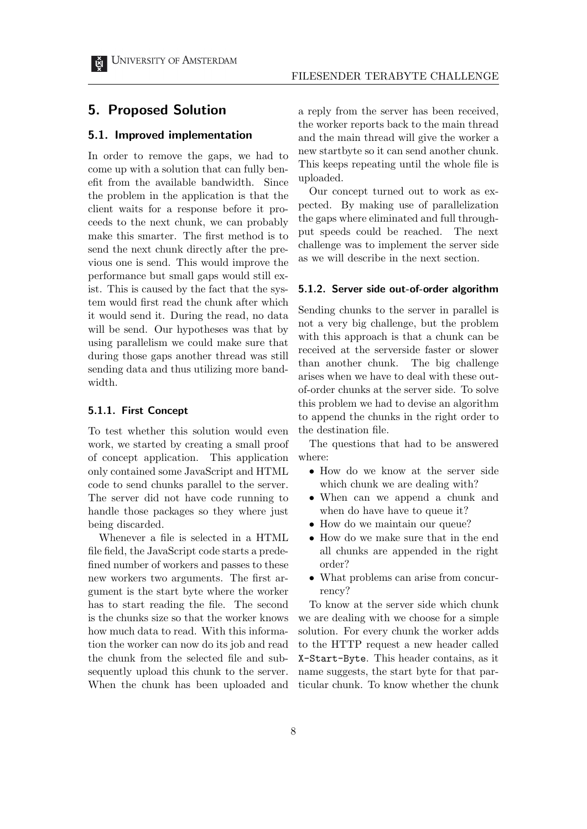## 5. Proposed Solution

#### 5.1. Improved implementation

In order to remove the gaps, we had to come up with a solution that can fully benefit from the available bandwidth. Since the problem in the application is that the client waits for a response before it proceeds to the next chunk, we can probably make this smarter. The first method is to send the next chunk directly after the previous one is send. This would improve the performance but small gaps would still exist. This is caused by the fact that the system would first read the chunk after which it would send it. During the read, no data will be send. Our hypotheses was that by using parallelism we could make sure that during those gaps another thread was still sending data and thus utilizing more bandwidth.

#### 5.1.1. First Concept

To test whether this solution would even work, we started by creating a small proof of concept application. This application only contained some JavaScript and HTML code to send chunks parallel to the server. The server did not have code running to handle those packages so they where just being discarded.

Whenever a file is selected in a HTML file field, the JavaScript code starts a predefined number of workers and passes to these new workers two arguments. The first argument is the start byte where the worker has to start reading the file. The second is the chunks size so that the worker knows how much data to read. With this information the worker can now do its job and read the chunk from the selected file and subsequently upload this chunk to the server. When the chunk has been uploaded and a reply from the server has been received, the worker reports back to the main thread and the main thread will give the worker a new startbyte so it can send another chunk. This keeps repeating until the whole file is uploaded.

Our concept turned out to work as expected. By making use of parallelization the gaps where eliminated and full throughput speeds could be reached. The next challenge was to implement the server side as we will describe in the next section.

#### 5.1.2. Server side out-of-order algorithm

Sending chunks to the server in parallel is not a very big challenge, but the problem with this approach is that a chunk can be received at the serverside faster or slower than another chunk. The big challenge arises when we have to deal with these outof-order chunks at the server side. To solve this problem we had to devise an algorithm to append the chunks in the right order to the destination file.

The questions that had to be answered where:

- How do we know at the server side which chunk we are dealing with?
- When can we append a chunk and when do have have to queue it?
- How do we maintain our queue?
- How do we make sure that in the end all chunks are appended in the right order?
- What problems can arise from concurrency?

To know at the server side which chunk we are dealing with we choose for a simple solution. For every chunk the worker adds to the HTTP request a new header called X-Start-Byte. This header contains, as it name suggests, the start byte for that particular chunk. To know whether the chunk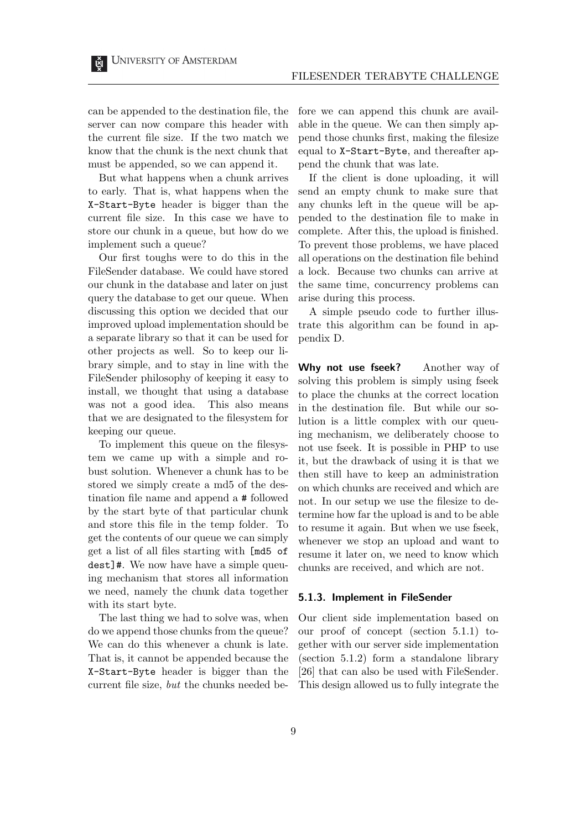can be appended to the destination file, the server can now compare this header with the current file size. If the two match we know that the chunk is the next chunk that must be appended, so we can append it.

But what happens when a chunk arrives to early. That is, what happens when the X-Start-Byte header is bigger than the current file size. In this case we have to store our chunk in a queue, but how do we implement such a queue?

Our first toughs were to do this in the FileSender database. We could have stored our chunk in the database and later on just query the database to get our queue. When discussing this option we decided that our improved upload implementation should be a separate library so that it can be used for other projects as well. So to keep our library simple, and to stay in line with the FileSender philosophy of keeping it easy to install, we thought that using a database was not a good idea. This also means that we are designated to the filesystem for keeping our queue.

To implement this queue on the filesystem we came up with a simple and robust solution. Whenever a chunk has to be stored we simply create a md5 of the destination file name and append a # followed by the start byte of that particular chunk and store this file in the temp folder. To get the contents of our queue we can simply get a list of all files starting with [md5 of dest]#. We now have have a simple queuing mechanism that stores all information we need, namely the chunk data together with its start byte.

The last thing we had to solve was, when do we append those chunks from the queue? We can do this whenever a chunk is late. That is, it cannot be appended because the X-Start-Byte header is bigger than the current file size, but the chunks needed before we can append this chunk are available in the queue. We can then simply append those chunks first, making the filesize equal to X-Start-Byte, and thereafter append the chunk that was late.

If the client is done uploading, it will send an empty chunk to make sure that any chunks left in the queue will be appended to the destination file to make in complete. After this, the upload is finished. To prevent those problems, we have placed all operations on the destination file behind a lock. Because two chunks can arrive at the same time, concurrency problems can arise during this process.

A simple pseudo code to further illustrate this algorithm can be found in appendix D.

Why not use fseek? Another way of solving this problem is simply using fseek to place the chunks at the correct location in the destination file. But while our solution is a little complex with our queuing mechanism, we deliberately choose to not use fseek. It is possible in PHP to use it, but the drawback of using it is that we then still have to keep an administration on which chunks are received and which are not. In our setup we use the filesize to determine how far the upload is and to be able to resume it again. But when we use fseek, whenever we stop an upload and want to resume it later on, we need to know which chunks are received, and which are not.

#### 5.1.3. Implement in FileSender

Our client side implementation based on our proof of concept (section 5.1.1) together with our server side implementation (section 5.1.2) form a standalone library [26] that can also be used with FileSender. This design allowed us to fully integrate the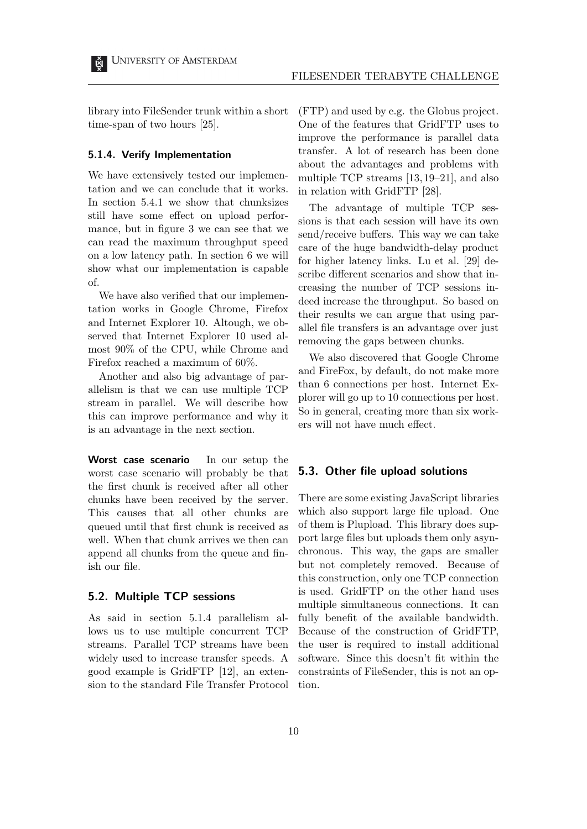library into FileSender trunk within a short time-span of two hours [25].

#### 5.1.4. Verify Implementation

We have extensively tested our implementation and we can conclude that it works. In section 5.4.1 we show that chunksizes still have some effect on upload performance, but in figure 3 we can see that we can read the maximum throughput speed on a low latency path. In section 6 we will show what our implementation is capable of.

We have also verified that our implementation works in Google Chrome, Firefox and Internet Explorer 10. Altough, we observed that Internet Explorer 10 used almost 90% of the CPU, while Chrome and Firefox reached a maximum of 60%.

Another and also big advantage of parallelism is that we can use multiple TCP stream in parallel. We will describe how this can improve performance and why it is an advantage in the next section.

Worst case scenario In our setup the worst case scenario will probably be that the first chunk is received after all other chunks have been received by the server. This causes that all other chunks are queued until that first chunk is received as well. When that chunk arrives we then can append all chunks from the queue and finish our file.

### 5.2. Multiple TCP sessions

As said in section 5.1.4 parallelism allows us to use multiple concurrent TCP streams. Parallel TCP streams have been widely used to increase transfer speeds. A good example is GridFTP [12], an extension to the standard File Transfer Protocol (FTP) and used by e.g. the Globus project. One of the features that GridFTP uses to improve the performance is parallel data transfer. A lot of research has been done about the advantages and problems with multiple TCP streams [13, 19–21], and also in relation with GridFTP [28].

The advantage of multiple TCP sessions is that each session will have its own send/receive buffers. This way we can take care of the huge bandwidth-delay product for higher latency links. Lu et al. [29] describe different scenarios and show that increasing the number of TCP sessions indeed increase the throughput. So based on their results we can argue that using parallel file transfers is an advantage over just removing the gaps between chunks.

We also discovered that Google Chrome and FireFox, by default, do not make more than 6 connections per host. Internet Explorer will go up to 10 connections per host. So in general, creating more than six workers will not have much effect.

#### 5.3. Other file upload solutions

There are some existing JavaScript libraries which also support large file upload. One of them is Plupload. This library does support large files but uploads them only asynchronous. This way, the gaps are smaller but not completely removed. Because of this construction, only one TCP connection is used. GridFTP on the other hand uses multiple simultaneous connections. It can fully benefit of the available bandwidth. Because of the construction of GridFTP, the user is required to install additional software. Since this doesn't fit within the constraints of FileSender, this is not an option.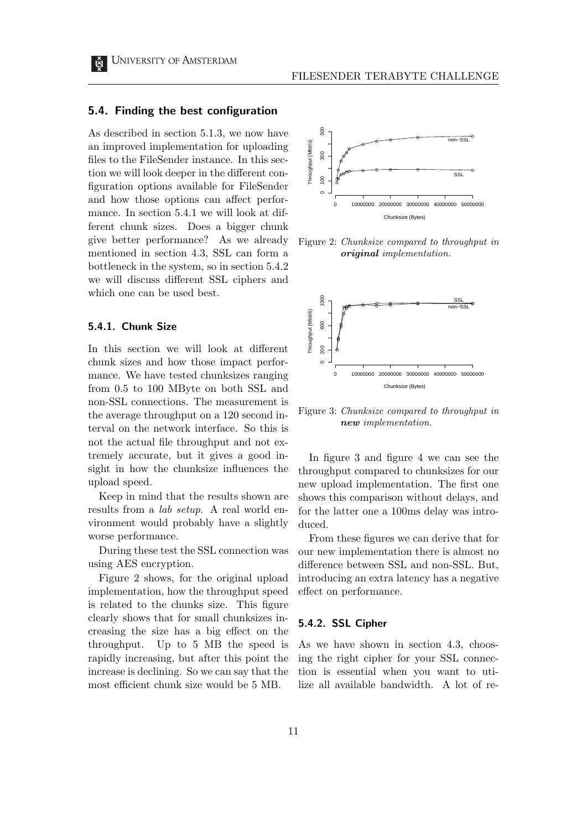#### 5.4. Finding the best configuration

As described in section 5.1.3, we now have an improved implementation for uploading files to the FileSender instance. In this section we will look deeper in the different configuration options available for FileSender and how those options can affect performance. In section 5.4.1 we will look at different chunk sizes. Does a bigger chunk give better performance? As we already mentioned in section 4.3, SSL can form a bottleneck in the system, so in section 5.4.2 we will discuss different SSL ciphers and which one can be used best.

#### 5.4.1. Chunk Size

In this section we will look at different chunk sizes and how those impact performance. We have tested chunksizes ranging from 0.5 to 100 MByte on both SSL and non-SSL connections. The measurement is the average throughput on a 120 second interval on the network interface. So this is not the actual file throughput and not extremely accurate, but it gives a good insight in how the chunksize influences the upload speed.

Keep in mind that the results shown are results from a lab setup. A real world environment would probably have a slightly worse performance.

During these test the SSL connection was using AES encryption.

Figure 2 shows, for the original upload implementation, how the throughput speed is related to the chunks size. This figure clearly shows that for small chunksizes increasing the size has a big effect on the throughput. Up to 5 MB the speed is rapidly increasing, but after this point the increase is declining. So we can say that the most efficient chunk size would be 5 MB.



Figure 2: Chunksize compared to throughput in original implementation.



Figure 3: Chunksize compared to throughput in new implementation.

In figure 3 and figure 4 we can see the throughput compared to chunksizes for our new upload implementation. The first one shows this comparison without delays, and for the latter one a 100ms delay was introduced.

From these figures we can derive that for our new implementation there is almost no difference between SSL and non-SSL. But, introducing an extra latency has a negative effect on performance.

#### 5.4.2. SSL Cipher

As we have shown in section 4.3, choosing the right cipher for your SSL connection is essential when you want to utilize all available bandwidth. A lot of re-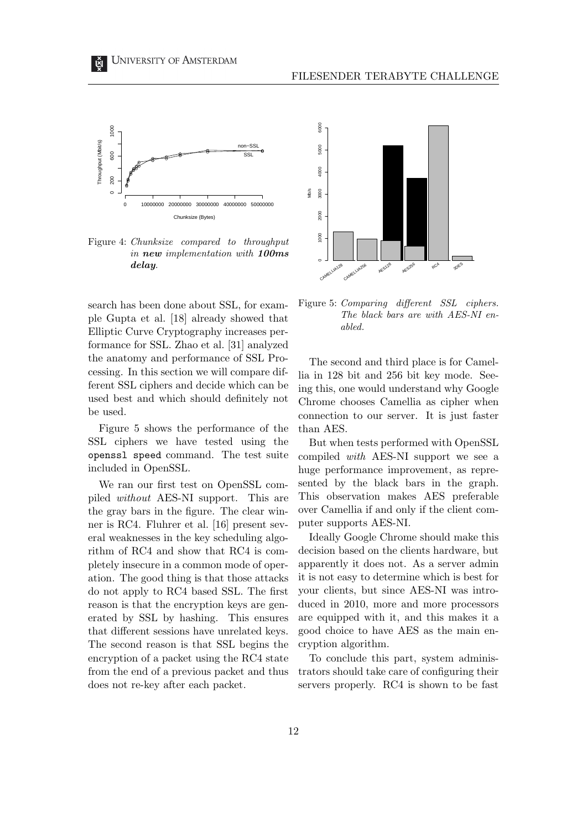

Figure 4: Chunksize compared to throughput in new implementation with 100ms delay.

search has been done about SSL, for example Gupta et al. [18] already showed that Elliptic Curve Cryptography increases performance for SSL. Zhao et al. [31] analyzed the anatomy and performance of SSL Processing. In this section we will compare different SSL ciphers and decide which can be used best and which should definitely not be used.

Figure 5 shows the performance of the SSL ciphers we have tested using the openssl speed command. The test suite included in OpenSSL.

We ran our first test on OpenSSL compiled without AES-NI support. This are the gray bars in the figure. The clear winner is RC4. Fluhrer et al. [16] present several weaknesses in the key scheduling algorithm of RC4 and show that RC4 is completely insecure in a common mode of operation. The good thing is that those attacks do not apply to RC4 based SSL. The first reason is that the encryption keys are generated by SSL by hashing. This ensures that different sessions have unrelated keys. The second reason is that SSL begins the encryption of a packet using the RC4 state from the end of a previous packet and thus does not re-key after each packet.





Figure 5: Comparing different SSL ciphers. The black bars are with AES-NI enabled.

The second and third place is for Camellia in 128 bit and 256 bit key mode. Seeing this, one would understand why Google Chrome chooses Camellia as cipher when connection to our server. It is just faster than AES.

But when tests performed with OpenSSL compiled with AES-NI support we see a huge performance improvement, as represented by the black bars in the graph. This observation makes AES preferable over Camellia if and only if the client computer supports AES-NI.

Ideally Google Chrome should make this decision based on the clients hardware, but apparently it does not. As a server admin it is not easy to determine which is best for your clients, but since AES-NI was introduced in 2010, more and more processors are equipped with it, and this makes it a good choice to have AES as the main encryption algorithm.

To conclude this part, system administrators should take care of configuring their servers properly. RC4 is shown to be fast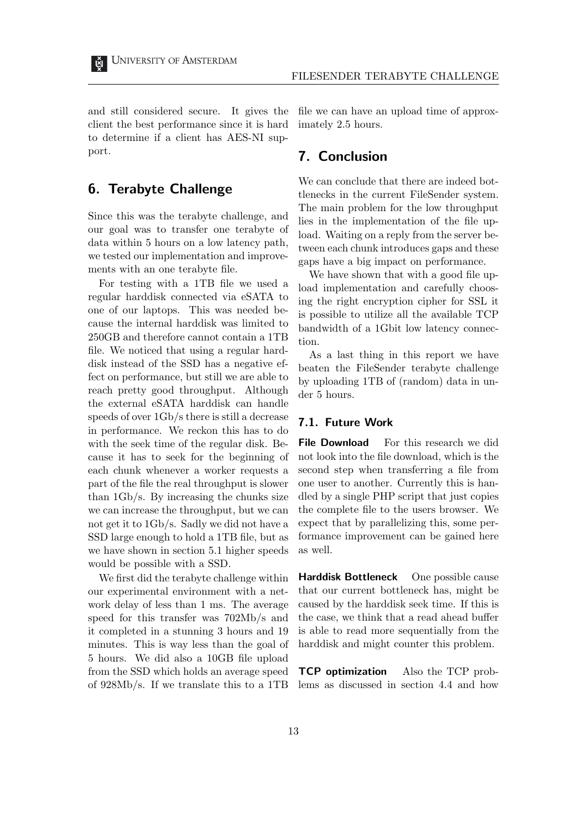and still considered secure. It gives the client the best performance since it is hard to determine if a client has AES-NI support.

# 6. Terabyte Challenge

Since this was the terabyte challenge, and our goal was to transfer one terabyte of data within 5 hours on a low latency path, we tested our implementation and improvements with an one terabyte file.

For testing with a 1TB file we used a regular harddisk connected via eSATA to one of our laptops. This was needed because the internal harddisk was limited to 250GB and therefore cannot contain a 1TB file. We noticed that using a regular harddisk instead of the SSD has a negative effect on performance, but still we are able to reach pretty good throughput. Although the external eSATA harddisk can handle speeds of over 1Gb/s there is still a decrease in performance. We reckon this has to do with the seek time of the regular disk. Because it has to seek for the beginning of each chunk whenever a worker requests a part of the file the real throughput is slower than 1Gb/s. By increasing the chunks size we can increase the throughput, but we can not get it to 1Gb/s. Sadly we did not have a SSD large enough to hold a 1TB file, but as we have shown in section 5.1 higher speeds would be possible with a SSD.

We first did the terabyte challenge within our experimental environment with a network delay of less than 1 ms. The average speed for this transfer was 702Mb/s and it completed in a stunning 3 hours and 19 minutes. This is way less than the goal of 5 hours. We did also a 10GB file upload from the SSD which holds an average speed of 928Mb/s. If we translate this to a 1TB file we can have an upload time of approximately 2.5 hours.

## 7. Conclusion

We can conclude that there are indeed bottlenecks in the current FileSender system. The main problem for the low throughput lies in the implementation of the file upload. Waiting on a reply from the server between each chunk introduces gaps and these gaps have a big impact on performance.

We have shown that with a good file upload implementation and carefully choosing the right encryption cipher for SSL it is possible to utilize all the available TCP bandwidth of a 1Gbit low latency connection.

As a last thing in this report we have beaten the FileSender terabyte challenge by uploading 1TB of (random) data in under 5 hours.

#### 7.1. Future Work

File Download For this research we did not look into the file download, which is the second step when transferring a file from one user to another. Currently this is handled by a single PHP script that just copies the complete file to the users browser. We expect that by parallelizing this, some performance improvement can be gained here as well.

Harddisk Bottleneck One possible cause that our current bottleneck has, might be caused by the harddisk seek time. If this is the case, we think that a read ahead buffer is able to read more sequentially from the harddisk and might counter this problem.

TCP optimization Also the TCP problems as discussed in section 4.4 and how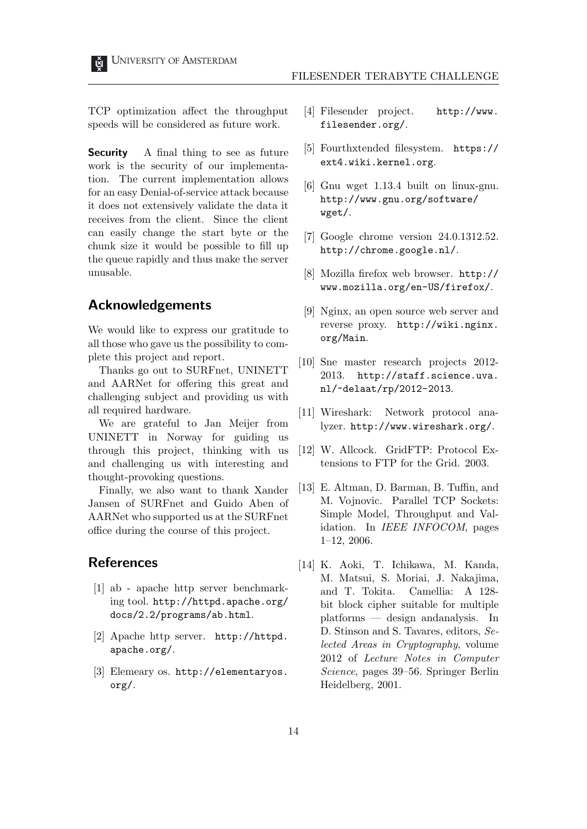TCP optimization affect the throughput speeds will be considered as future work.

**Security** A final thing to see as future work is the security of our implementation. The current implementation allows for an easy Denial-of-service attack because it does not extensively validate the data it receives from the client. Since the client can easily change the start byte or the chunk size it would be possible to fill up the queue rapidly and thus make the server unusable.

## Acknowledgements

We would like to express our gratitude to all those who gave us the possibility to complete this project and report.

Thanks go out to SURFnet, UNINETT and AARNet for offering this great and challenging subject and providing us with all required hardware.

We are grateful to Jan Meijer from UNINETT in Norway for guiding us through this project, thinking with us and challenging us with interesting and thought-provoking questions.

Finally, we also want to thank Xander Jansen of SURFnet and Guido Aben of AARNet who supported us at the SURFnet office during the course of this project.

## References

- [1] ab apache http server benchmarking tool. http://httpd.apache.org/ docs/2.2/programs/ab.html.
- [2] Apache http server. http://httpd. apache.org/.
- [3] Elemeary os. http://elementaryos. org/.
- [4] Filesender project. http://www. filesender.org/.
- [5] Fourthxtended filesystem. https:// ext4.wiki.kernel.org.
- [6] Gnu wget 1.13.4 built on linux-gnu. http://www.gnu.org/software/ wget/.
- [7] Google chrome version 24.0.1312.52. http://chrome.google.nl/.
- [8] Mozilla firefox web browser. http:// www.mozilla.org/en-US/firefox/.
- [9] Nginx, an open source web server and reverse proxy. http://wiki.nginx. org/Main.
- [10] Sne master research projects 2012- 2013. http://staff.science.uva. nl/~delaat/rp/2012-2013.
- [11] Wireshark: Network protocol analyzer. http://www.wireshark.org/.
- [12] W. Allcock. GridFTP: Protocol Extensions to FTP for the Grid. 2003.
- [13] E. Altman, D. Barman, B. Tuffin, and M. Vojnovic. Parallel TCP Sockets: Simple Model, Throughput and Validation. In IEEE INFOCOM, pages 1–12, 2006.
- [14] K. Aoki, T. Ichikawa, M. Kanda, M. Matsui, S. Moriai, J. Nakajima, and T. Tokita. Camellia: A 128 bit block cipher suitable for multiple platforms — design andanalysis. In D. Stinson and S. Tavares, editors, Selected Areas in Cryptography, volume 2012 of Lecture Notes in Computer Science, pages 39–56. Springer Berlin Heidelberg, 2001.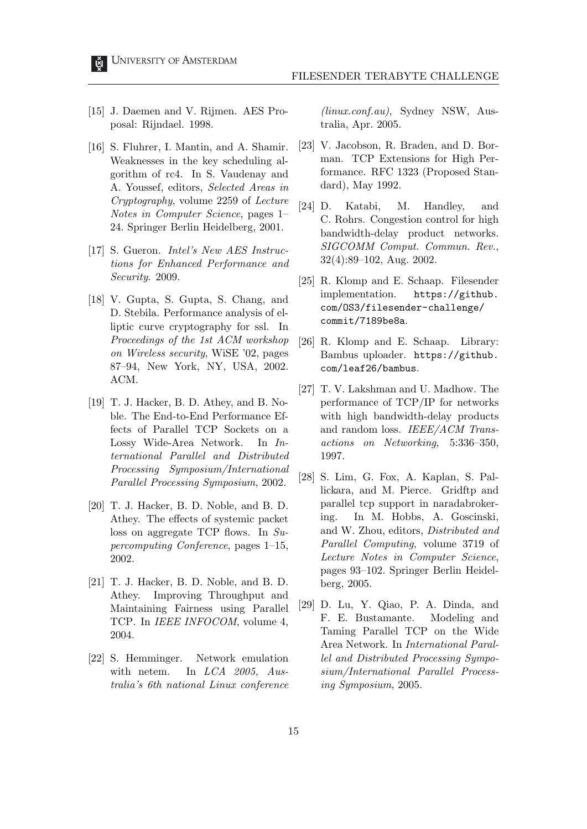- [15] J. Daemen and V. Rijmen. AES Proposal: Rijndael. 1998.
- [16] S. Fluhrer, I. Mantin, and A. Shamir. Weaknesses in the key scheduling algorithm of rc4. In S. Vaudenay and A. Youssef, editors, Selected Areas in Cryptography, volume 2259 of Lecture Notes in Computer Science, pages 1– 24. Springer Berlin Heidelberg, 2001.
- [17] S. Gueron. Intel's New AES Instructions for Enhanced Performance and Security. 2009.
- [18] V. Gupta, S. Gupta, S. Chang, and D. Stebila. Performance analysis of elliptic curve cryptography for ssl. In Proceedings of the 1st ACM workshop on Wireless security, WiSE '02, pages 87–94, New York, NY, USA, 2002. ACM.
- [19] T. J. Hacker, B. D. Athey, and B. Noble. The End-to-End Performance Effects of Parallel TCP Sockets on a Lossy Wide-Area Network. In International Parallel and Distributed Processing Symposium/International Parallel Processing Symposium, 2002.
- [20] T. J. Hacker, B. D. Noble, and B. D. Athey. The effects of systemic packet loss on aggregate TCP flows. In Supercomputing Conference, pages 1–15, 2002.
- [21] T. J. Hacker, B. D. Noble, and B. D. Athey. Improving Throughput and Maintaining Fairness using Parallel TCP. In *IEEE INFOCOM*, volume 4, 2004.
- [22] S. Hemminger. Network emulation with netem. In LCA 2005, Australia's 6th national Linux conference

(linux.conf.au), Sydney NSW, Australia, Apr. 2005.

- [23] V. Jacobson, R. Braden, and D. Borman. TCP Extensions for High Performance. RFC 1323 (Proposed Standard), May 1992.
- [24] D. Katabi, M. Handley, and C. Rohrs. Congestion control for high bandwidth-delay product networks. SIGCOMM Comput. Commun. Rev., 32(4):89–102, Aug. 2002.
- [25] R. Klomp and E. Schaap. Filesender implementation. https://github. com/OS3/filesender-challenge/ commit/7189be8a.
- [26] R. Klomp and E. Schaap. Library: Bambus uploader. https://github. com/leaf26/bambus.
- [27] T. V. Lakshman and U. Madhow. The performance of TCP/IP for networks with high bandwidth-delay products and random loss. IEEE/ACM Transactions on Networking, 5:336–350, 1997.
- [28] S. Lim, G. Fox, A. Kaplan, S. Pallickara, and M. Pierce. Gridftp and parallel tcp support in naradabrokering. In M. Hobbs, A. Goscinski, and W. Zhou, editors, Distributed and Parallel Computing, volume 3719 of Lecture Notes in Computer Science, pages 93–102. Springer Berlin Heidelberg, 2005.
- [29] D. Lu, Y. Qiao, P. A. Dinda, and F. E. Bustamante. Modeling and Taming Parallel TCP on the Wide Area Network. In International Parallel and Distributed Processing Symposium/International Parallel Processing Symposium, 2005.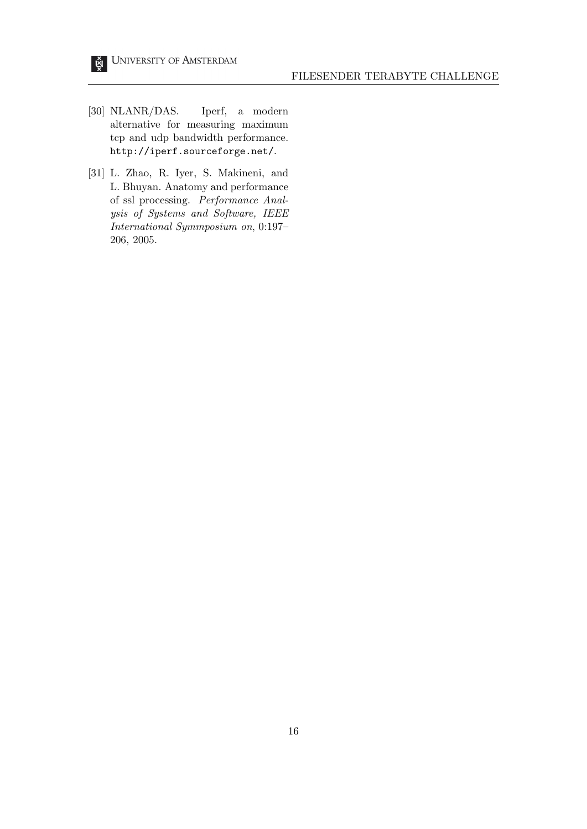- [30] NLANR/DAS. Iperf, a modern alternative for measuring maximum tcp and udp bandwidth performance. http://iperf.sourceforge.net/.
- [31] L. Zhao, R. Iyer, S. Makineni, and L. Bhuyan. Anatomy and performance of ssl processing. Performance Analysis of Systems and Software, IEEE International Symmposium on, 0:197– 206, 2005.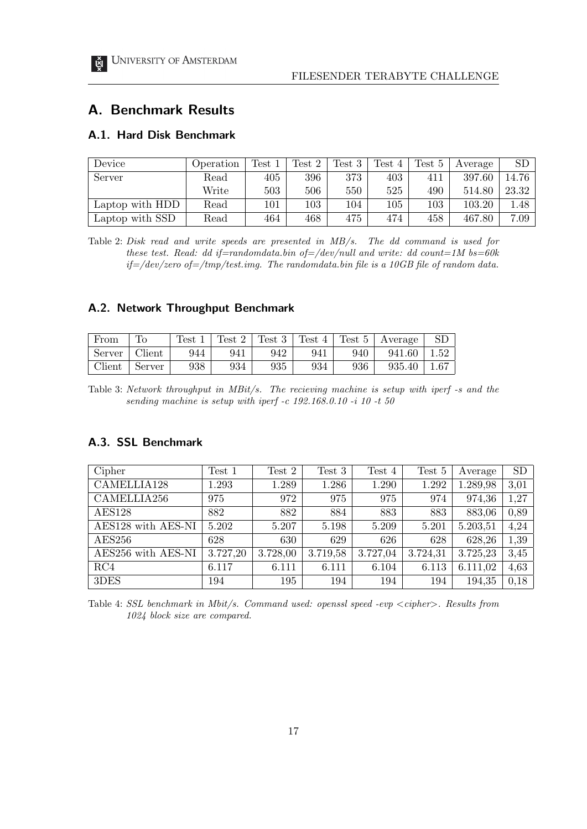### FILESENDER TERABYTE CHALLENGE

# A. Benchmark Results

## A.1. Hard Disk Benchmark

| Device          | Operation | $\operatorname{Test}$ | Test 2  | Test 3 | Test 4 | Test 5 | Average | $\operatorname{SD}$ |
|-----------------|-----------|-----------------------|---------|--------|--------|--------|---------|---------------------|
| Server          | Read      | 405                   | 396     | 373    | 403    | 411    | 397.60  | 14.76               |
|                 | Write     | 503                   | 506     | 550    | 525    | 490    | 514.80  | 23.32               |
| Laptop with HDD | Read      | $101\,$               | $103\,$ | 104    | 105    | 103    | 103.20  | 1.48                |
| Laptop with SSD | Read      | 464                   | 468     | 475    | 474    | 458    | 467.80  | 7.09                |

Table 2: Disk read and write speeds are presented in MB/s. The dd command is used for these test. Read: dd if=randomdata.bin of=/dev/null and write: dd count=1M bs=60k  $if=\/dev$ /zero of $=\/tmp/test.img.$  The randomdata.bin file is a 10GB file of random data.

## A.2. Network Throughput Benchmark

| From   | To     | Test 1 |     | Test 2   Test 3 | Test 4 | $\vert$ Test 5 | Average |      |
|--------|--------|--------|-----|-----------------|--------|----------------|---------|------|
| Server | Client | 944    | 941 | 942             | 941    | 940            | 941.60  | 1.52 |
| Client | Server | 938    | 934 | 935             | 934    | 936            | 935.40  | 1.67 |

Table 3: Network throughput in MBit/s. The recieving machine is setup with iperf -s and the sending machine is setup with iperf -c 192.168.0.10 -i 10 -t 50

## A.3. SSL Benchmark

| Cipher             | Test 1   | Test 2   | Test 3   | Test 4   | Test 5   | Average  | <b>SD</b> |
|--------------------|----------|----------|----------|----------|----------|----------|-----------|
| CAMELLIA128        | 1.293    | 1.289    | 1.286    | 1.290    | 1.292    | 1.289,98 | 3,01      |
| CAMELLIA256        | 975      | 972      | 975      | 975      | 974      | 974,36   | 1.27      |
| <b>AES128</b>      | 882      | 882      | 884      | 883      | 883      | 883,06   | 0,89      |
| AES128 with AES-NI | 5.202    | 5.207    | 5.198    | 5.209    | 5.201    | 5.203,51 | 4,24      |
| <b>AES256</b>      | 628      | 630      | 629      | 626      | 628      | 628,26   | 1,39      |
| AES256 with AES-NI | 3.727,20 | 3.728,00 | 3.719,58 | 3.727,04 | 3.724,31 | 3.725,23 | 3,45      |
| RC4                | 6.117    | 6.111    | 6.111    | 6.104    | 6.113    | 6.111,02 | 4,63      |
| 3DES               | 194      | 195      | 194      | 194      | 194      | 194,35   | 0,18      |

Table 4: SSL benchmark in Mbit/s. Command used: openssl speed -evp <cipher>. Results from 1024 block size are compared.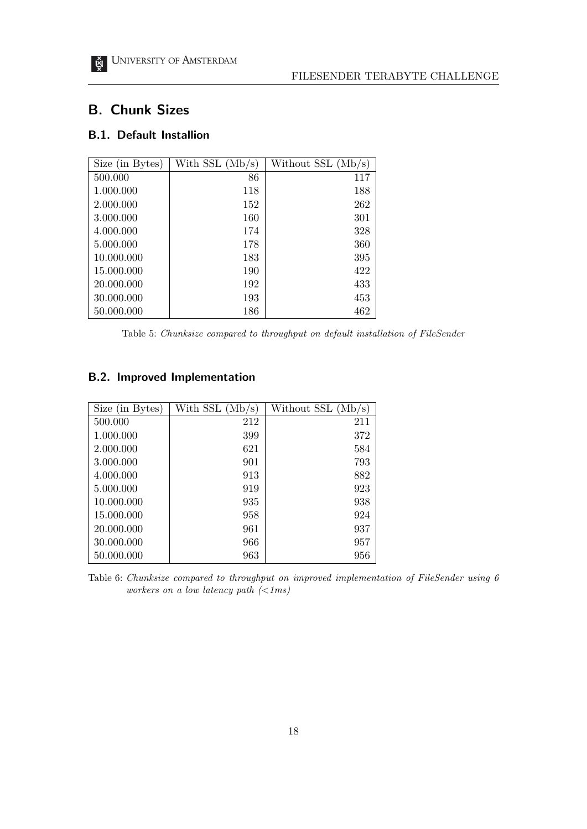### FILESENDER TERABYTE CHALLENGE

# B. Chunk Sizes

# B.1. Default Installion

| Size (in Bytes) | With $SSL (Mb/s)$ | Without $SSL(Mb/s)$ |
|-----------------|-------------------|---------------------|
| 500.000         | 86                | 117                 |
| 1.000.000       | 118               | 188                 |
| 2.000.000       | 152               | 262                 |
| 3.000.000       | 160               | 301                 |
| 4.000.000       | 174               | 328                 |
| 5.000.000       | 178               | 360                 |
| 10.000.000      | 183               | 395                 |
| 15.000.000      | 190               | 422                 |
| 20.000.000      | 192               | 433                 |
| 30.000.000      | 193               | 453                 |
| 50.000.000      | 186               | 462                 |

Table 5: Chunksize compared to throughput on default installation of FileSender

## B.2. Improved Implementation

| Size (in Bytes) | With SSL $(Mb/s)$ | Without SSL (Mb/s) |
|-----------------|-------------------|--------------------|
| 500.000         | 212               | 211                |
| 1.000.000       | 399               | 372                |
| 2.000.000       | 621               | 584                |
| 3.000.000       | 901               | 793                |
| 4.000.000       | 913               | 882                |
| 5.000.000       | 919               | 923                |
| 10.000.000      | 935               | 938                |
| 15.000.000      | 958               | 924                |
| 20.000.000      | 961               | 937                |
| 30.000.000      | 966               | 957                |
| 50.000.000      | 963               | 956                |

Table 6: Chunksize compared to throughput on improved implementation of FileSender using 6 workers on a low latency path  $\left(<1ms\right)$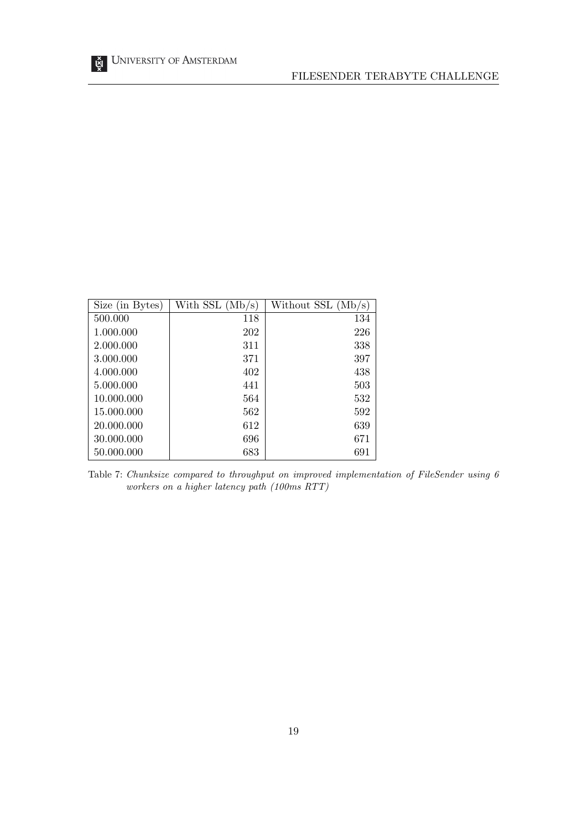| Size (in Bytes) | With SSL $(Mb/s)$ | Without $SSL(Mb/s)$ |
|-----------------|-------------------|---------------------|
| 500.000         | 118               | 134                 |
| 1.000.000       | 202               | 226                 |
| 2.000.000       | 311               | 338                 |
| 3.000.000       | 371               | 397                 |
| 4.000.000       | 402               | 438                 |
| 5.000.000       | 441               | 503                 |
| 10.000.000      | 564               | 532                 |
| 15,000,000      | 562               | 592                 |
| 20.000.000      | 612               | 639                 |
| 30.000.000      | 696               | 671                 |
| 50.000.000      | 683               | 691                 |

Table 7: Chunksize compared to throughput on improved implementation of FileSender using 6 workers on a higher latency path (100ms RTT)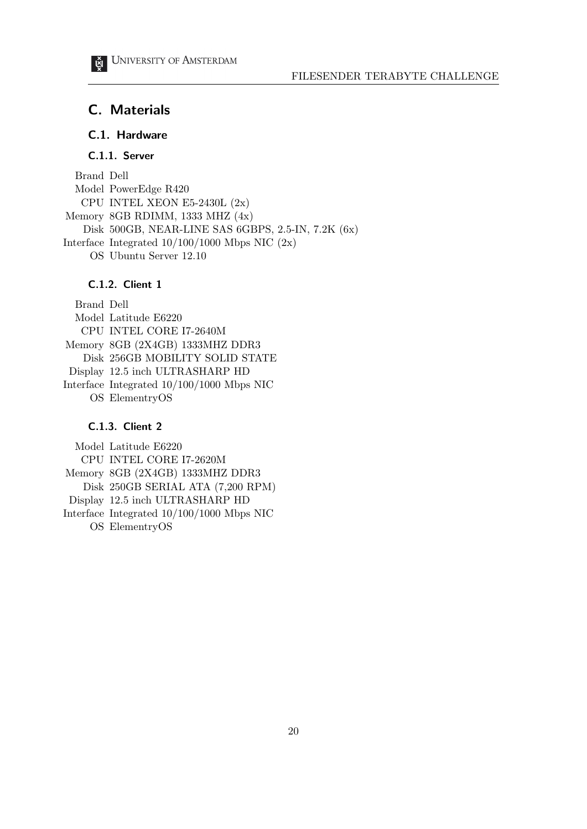# C. Materials

# C.1. Hardware

# C.1.1. Server

Brand Dell Model PowerEdge R420 CPU INTEL XEON E5-2430L (2x) Memory 8GB RDIMM, 1333 MHZ (4x) Disk 500GB, NEAR-LINE SAS 6GBPS, 2.5-IN, 7.2K (6x) Interface Integrated  $10/100/1000$  Mbps NIC  $(2x)$ OS Ubuntu Server 12.10

### C.1.2. Client 1

Brand Dell Model Latitude E6220 CPU INTEL CORE I7-2640M Memory 8GB (2X4GB) 1333MHZ DDR3 Disk 256GB MOBILITY SOLID STATE Display 12.5 inch ULTRASHARP HD Interface Integrated 10/100/1000 Mbps NIC OS ElementryOS

### C.1.3. Client 2

Model Latitude E6220 CPU INTEL CORE I7-2620M Memory 8GB (2X4GB) 1333MHZ DDR3 Disk 250GB SERIAL ATA (7,200 RPM) Display 12.5 inch ULTRASHARP HD Interface Integrated 10/100/1000 Mbps NIC OS ElementryOS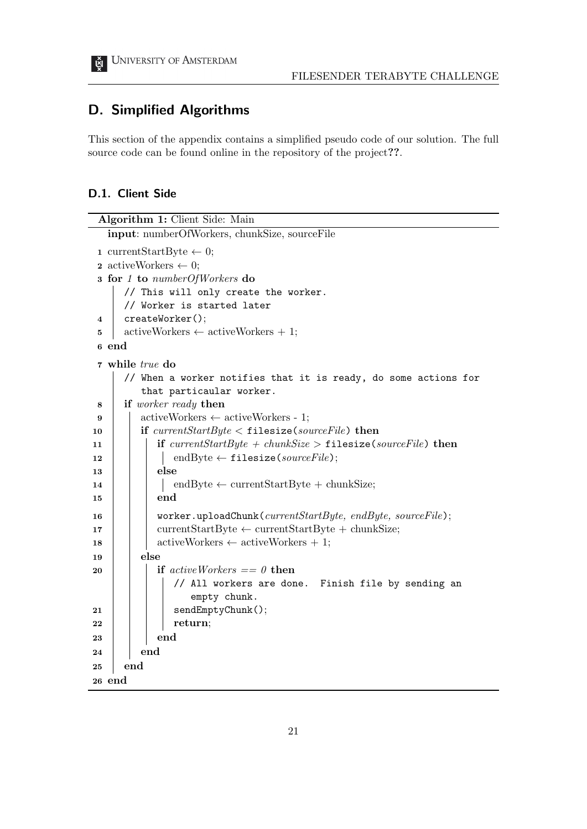## D. Simplified Algorithms

This section of the appendix contains a simplified pseudo code of our solution. The full source code can be found online in the repository of the project??.

## D.1. Client Side

```
Algorithm 1: Client Side: Main
  input: numberOfWorkers, chunkSize, sourceFile
1 currentStartByte \leftarrow 0;
 2 activeWorkers \leftarrow 0;
3 for 1 to numberOfWorkers do
     // This will only create the worker.
     // Worker is started later
 4 createWorker();
 5 activeWorkers \leftarrow activeWorkers +1;
 6 end
 7 while true do
     // When a worker notifies that it is ready, do some actions for
        that particaular worker.
8 if worker ready then
 9 \vert activeWorkers \leftarrow activeWorkers - 1;
10 if currentStartByte \lt filesize(sourceFile) then
11 if currentStartByte + chunkSize > filesize(sourceFile) then
12 \vert \vert endByte \leftarrow filesize(sourceFile);
13 | | else
14 | | endByte ← currentStartByte + chunkSize;
15 | | | end
16 | worker.uploadChunk(currentStartByte, endByte, sourceFile);
17 currentStartByte ← currentStartByte + chunkSize;
18 | | activeWorkers \leftarrow activeWorkers + 1;
19 | else
20 if active Workers =0 then
              // All workers are done. Finish file by sending an
                  empty chunk.
21 | | | sendEmptyChunk();
22 return;
23 end
24 end
25 end
26 end
```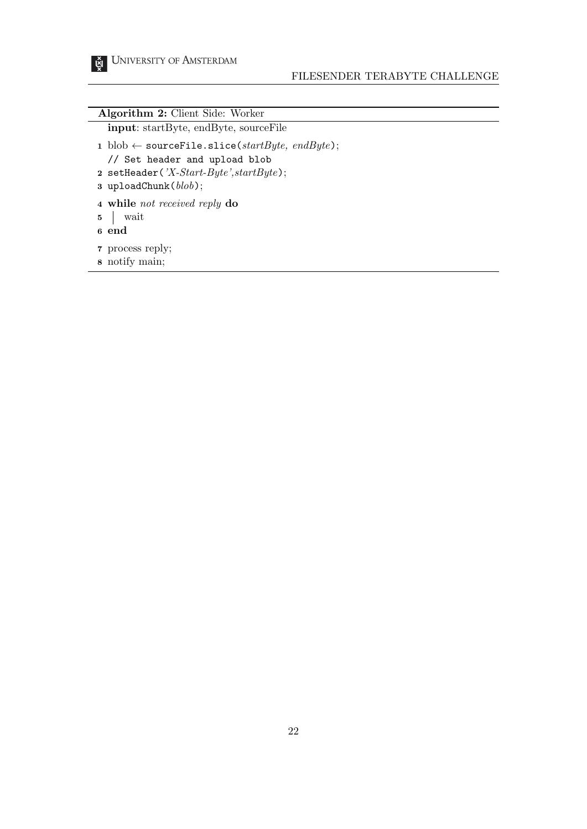# FILESENDER TERABYTE CHALLENGE

| <b>Algorithm 2:</b> Client Side: Worker                                                                                                                                                   |
|-------------------------------------------------------------------------------------------------------------------------------------------------------------------------------------------|
| <b>input:</b> startByte, endByte, sourceFile                                                                                                                                              |
| 1 blob $\leftarrow$ sourceFile.slice(startByte, endByte);<br>// Set header and upload blob<br>2 setHeader( $'X\text{-}Start\text{-}Byte\text{'}, startByte$ );<br>3 uploadChunk $(blob);$ |

- while not received reply do
- wait
- end
- process reply;
- notify main;